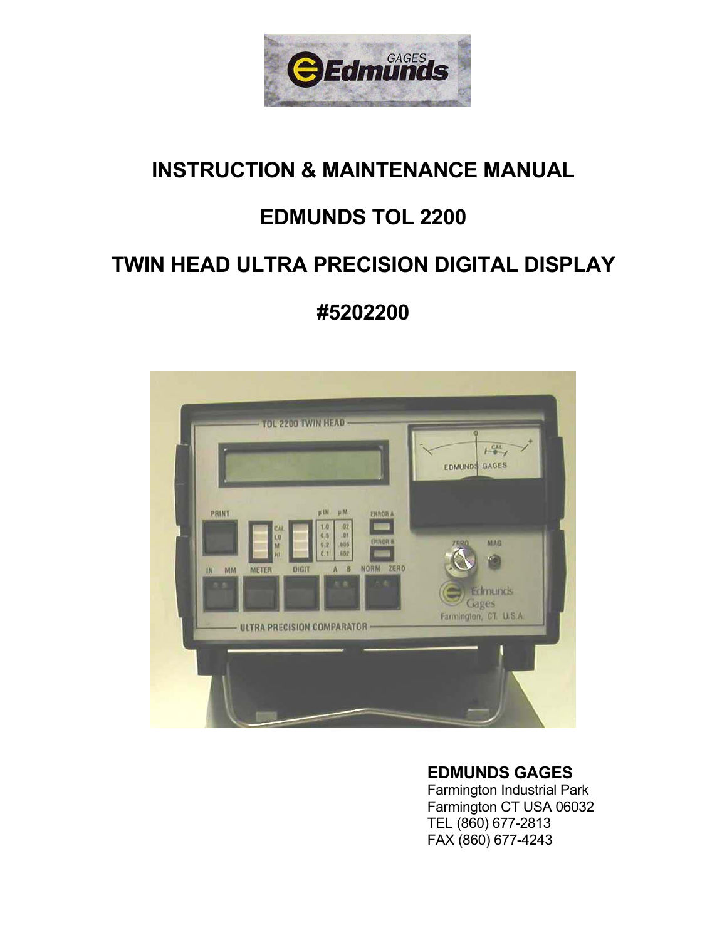

# **INSTRUCTION & MAINTENANCE MANUAL**

# **EDMUNDS TOL 2200**

# **TWIN HEAD ULTRA PRECISION DIGITAL DISPLAY**

**#5202200**



# **EDMUNDS GAGES**

 Farmington Industrial Park Farmington CT USA 06032 TEL (860) 677-2813 FAX (860) 677-4243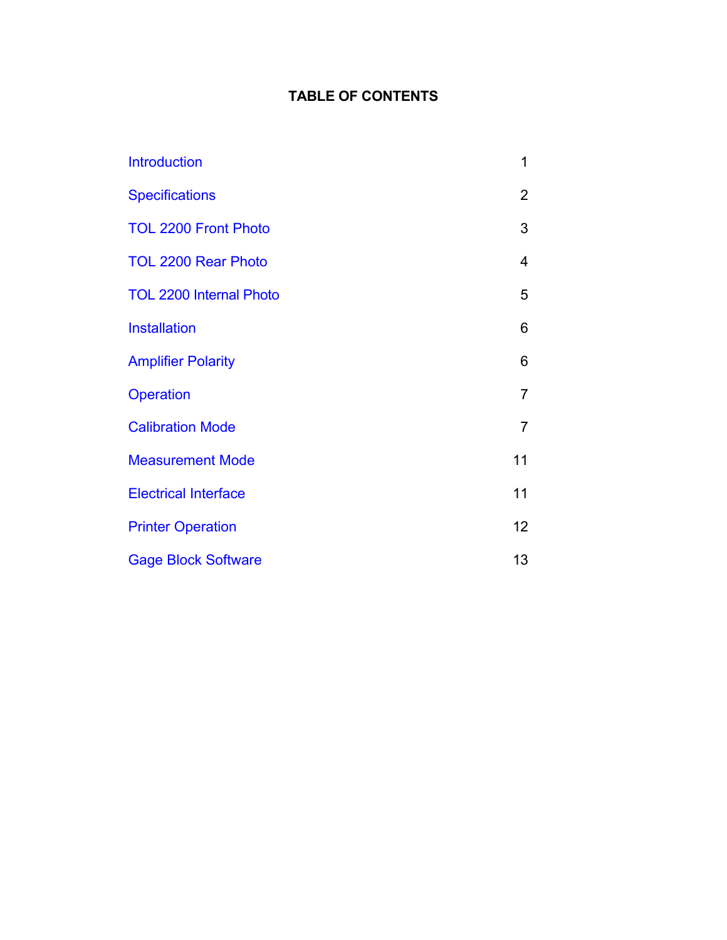# **TABLE OF CONTENTS**

| <b>Introduction</b>            | 1              |
|--------------------------------|----------------|
| <b>Specifications</b>          | $\overline{2}$ |
| <b>TOL 2200 Front Photo</b>    | 3              |
| <b>TOL 2200 Rear Photo</b>     | 4              |
| <b>TOL 2200 Internal Photo</b> | 5              |
| <b>Installation</b>            | 6              |
| <b>Amplifier Polarity</b>      | 6              |
| Operation                      | $\overline{7}$ |
| <b>Calibration Mode</b>        | $\overline{7}$ |
| <b>Measurement Mode</b>        | 11             |
| <b>Electrical Interface</b>    | 11             |
| <b>Printer Operation</b>       | 12             |
| <b>Gage Block Software</b>     | 13             |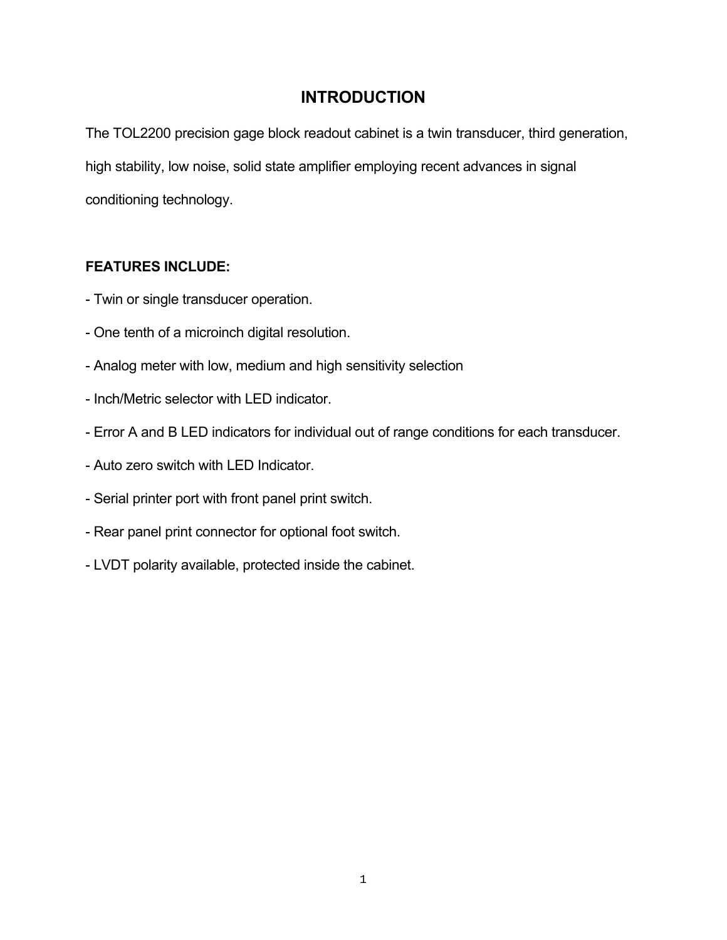# **INTRODUCTION**

The TOL2200 precision gage block readout cabinet is a twin transducer, third generation, high stability, low noise, solid state amplifier employing recent advances in signal conditioning technology.

## **FEATURES INCLUDE:**

- Twin or single transducer operation.
- One tenth of a microinch digital resolution.
- Analog meter with low, medium and high sensitivity selection
- Inch/Metric selector with LED indicator.
- Error A and B LED indicators for individual out of range conditions for each transducer.
- Auto zero switch with LED Indicator.
- Serial printer port with front panel print switch.
- Rear panel print connector for optional foot switch.
- LVDT polarity available, protected inside the cabinet.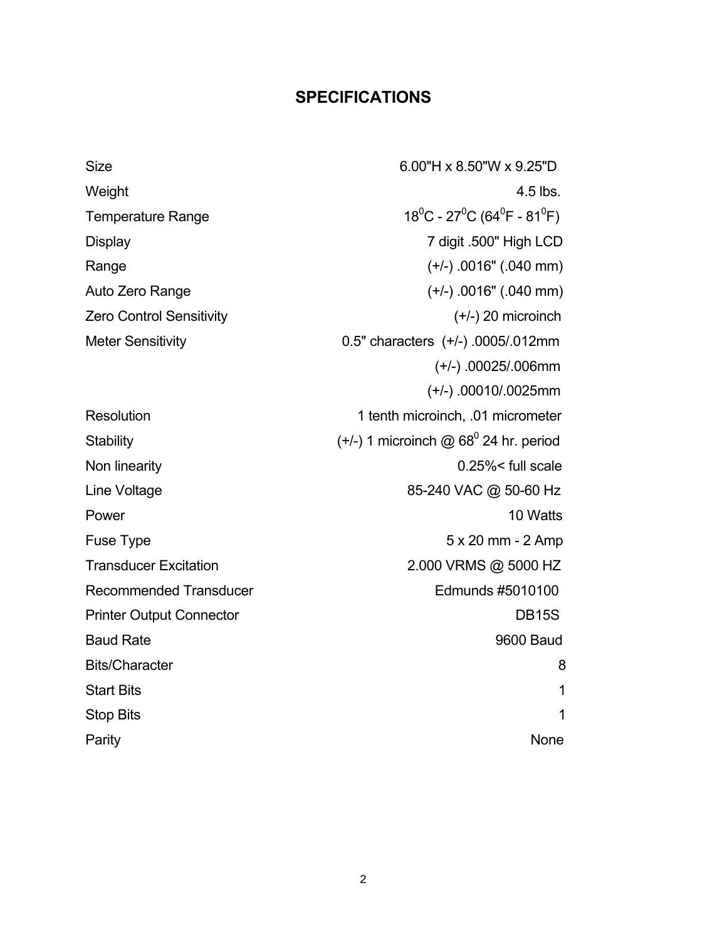## **SPECIFICATIONS**

Size 6.00"H x 8.50"W x 9.25"D Weight **4.5** lbs. Temperature Range  $C$  - 27 $^0C$  (64 $^0F$  - 81 $^0F$ ) Display 7 digit .500" High LCD Range (+/-) .0016" (.040 mm) Auto Zero Range (+/-) .0016" (.040 mm) Zero Control Sensitivity (+/-) 20 microinch Meter Sensitivity 0.5" characters (+/-) .0005/.012mm (+/-) .00025/.006mm (+/-) .00010/.0025mm Resolution 1 tenth microinch, .01 micrometer Stability  $(+/-)$  1 microinch @ 68<sup>0</sup> 24 hr. period Non linearity 0.25%< full scale Line Voltage 85-240 VAC @ 50-60 Hz Power 2012 10 Watts Fuse Type 5 x 20 mm - 2 Amp Transducer Excitation 2.000 VRMS @ 5000 HZ Recommended Transducer Edmunds #5010100 Printer Output Connector **DB15S** Baud Rate 9600 Baud Bits/Character 8 Start Bits **1** Stop Bits 2018 and 2018 and 2018 and 2018 and 2018 and 2018 and 2018 and 2018 and 2018 and 2018 and 2018 and 2018 and 2018 and 2018 and 2018 and 2018 and 2018 and 2018 and 2018 and 2018 and 2018 and 2018 and 2018 and 2018 Parity **None**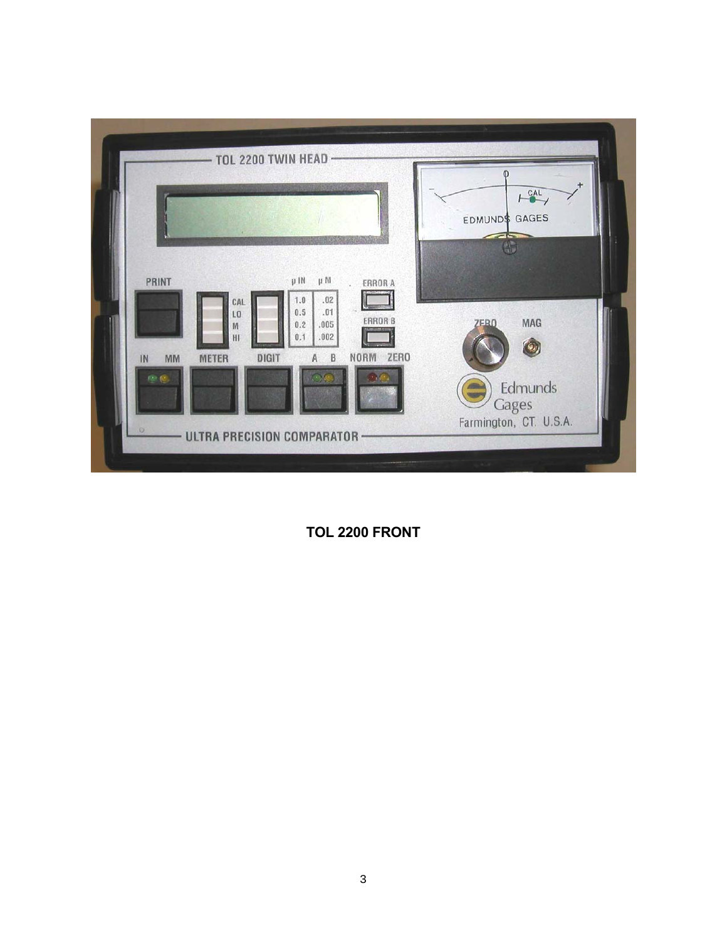

 **TOL 2200 FRONT**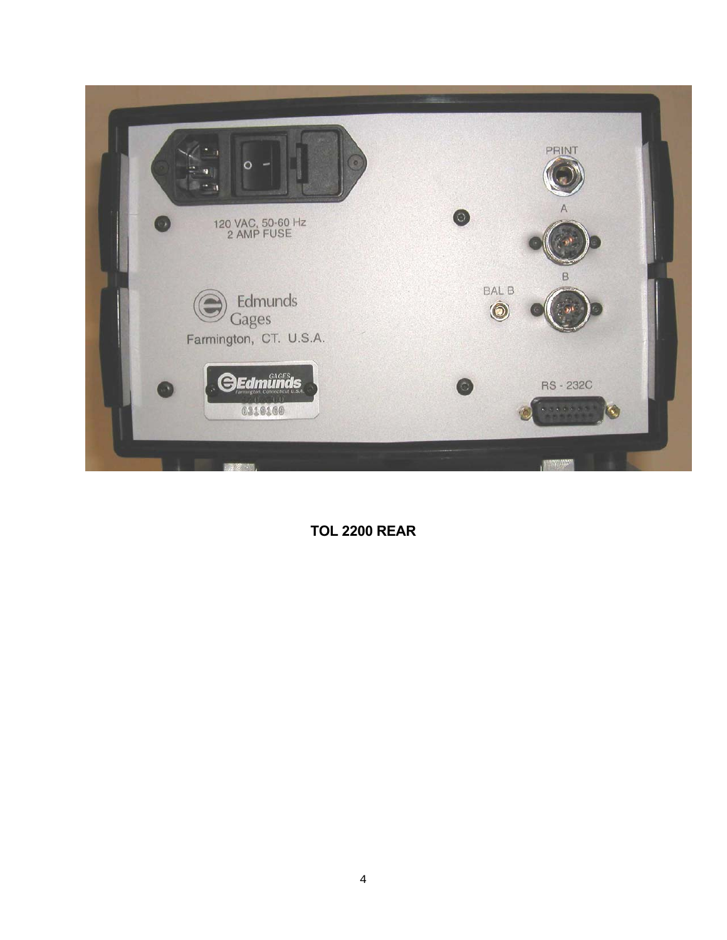

 **TOL 2200 REAR**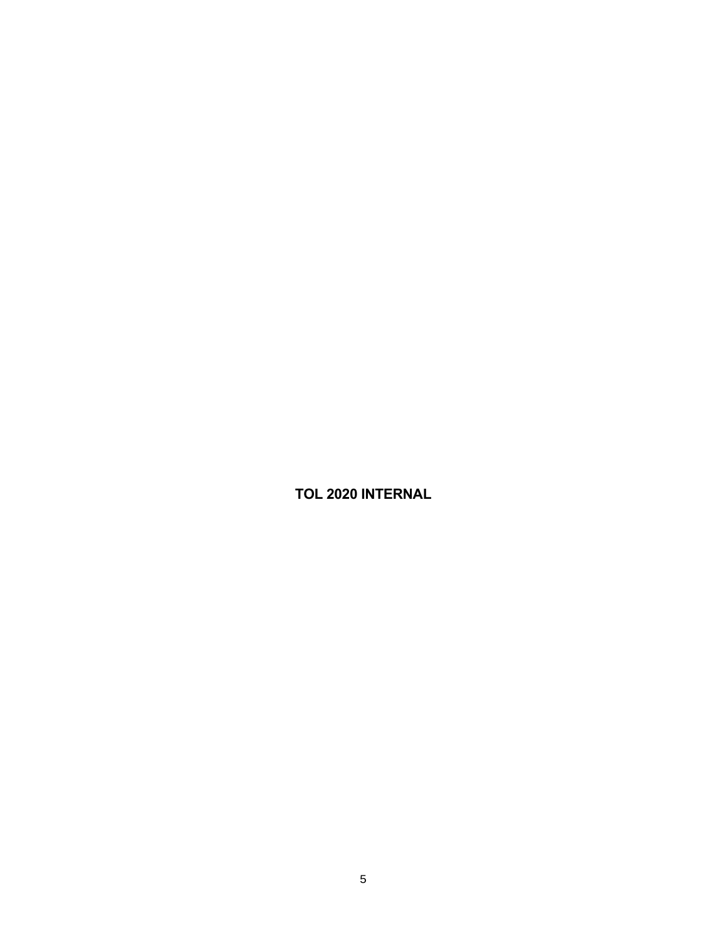**TOL 2020 INTERNAL**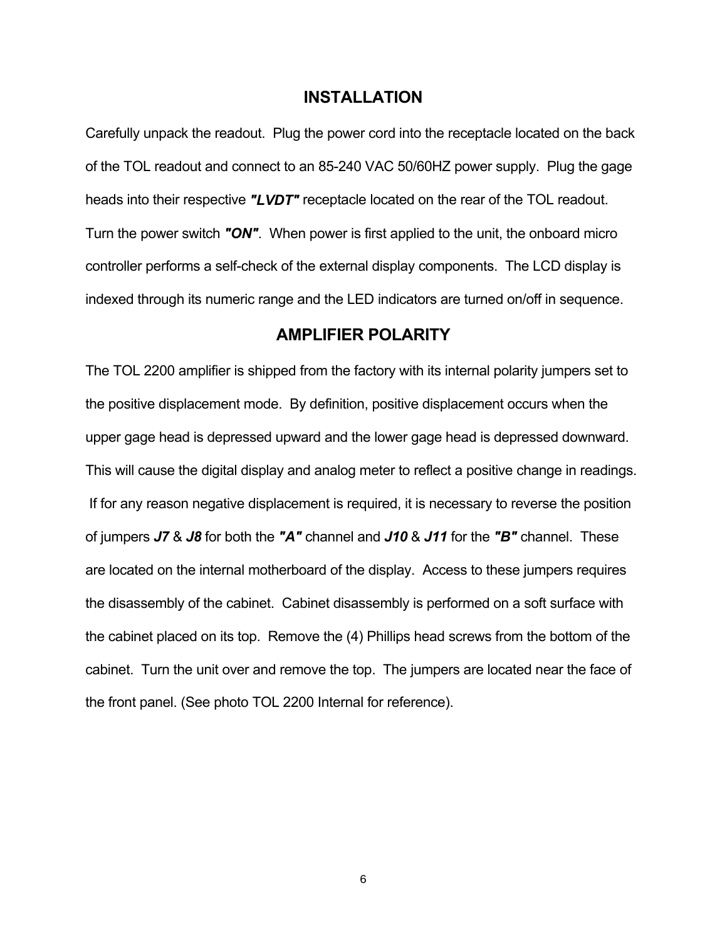#### **INSTALLATION**

Carefully unpack the readout. Plug the power cord into the receptacle located on the back of the TOL readout and connect to an 85-240 VAC 50/60HZ power supply. Plug the gage heads into their respective *"LVDT"* receptacle located on the rear of the TOL readout. Turn the power switch *"ON"*. When power is first applied to the unit, the onboard micro controller performs a self-check of the external display components. The LCD display is indexed through its numeric range and the LED indicators are turned on/off in sequence.

### **AMPLIFIER POLARITY**

The TOL 2200 amplifier is shipped from the factory with its internal polarity jumpers set to the positive displacement mode. By definition, positive displacement occurs when the upper gage head is depressed upward and the lower gage head is depressed downward. This will cause the digital display and analog meter to reflect a positive change in readings. If for any reason negative displacement is required, it is necessary to reverse the position of jumpers *J7* & *J8* for both the *"A"* channel and *J10* & *J11* for the *"B"* channel. These are located on the internal motherboard of the display. Access to these jumpers requires the disassembly of the cabinet. Cabinet disassembly is performed on a soft surface with the cabinet placed on its top. Remove the (4) Phillips head screws from the bottom of the cabinet. Turn the unit over and remove the top. The jumpers are located near the face of the front panel. (See photo TOL 2200 Internal for reference).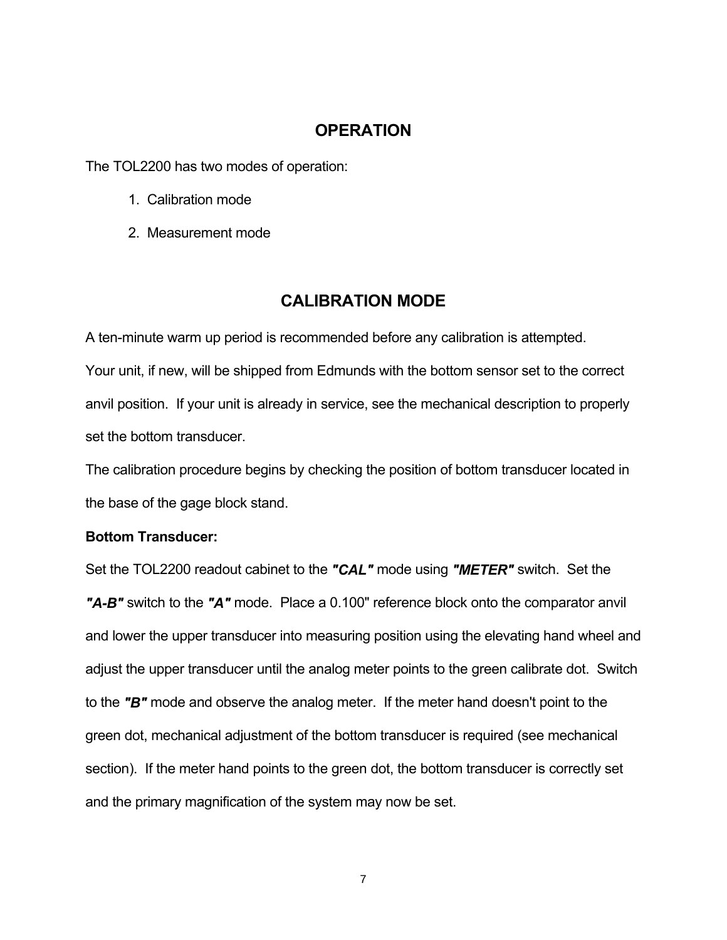## **OPERATION**

The TOL2200 has two modes of operation:

- 1. Calibration mode
- 2. Measurement mode

## **CALIBRATION MODE**

A ten-minute warm up period is recommended before any calibration is attempted. Your unit, if new, will be shipped from Edmunds with the bottom sensor set to the correct anvil position. If your unit is already in service, see the mechanical description to properly set the bottom transducer.

The calibration procedure begins by checking the position of bottom transducer located in the base of the gage block stand.

#### **Bottom Transducer:**

Set the TOL2200 readout cabinet to the *"CAL"* mode using *"METER"* switch. Set the *"A-B"* switch to the *"A"* mode. Place a 0.100" reference block onto the comparator anvil and lower the upper transducer into measuring position using the elevating hand wheel and adjust the upper transducer until the analog meter points to the green calibrate dot. Switch to the *"B"* mode and observe the analog meter. If the meter hand doesn't point to the green dot, mechanical adjustment of the bottom transducer is required (see mechanical section). If the meter hand points to the green dot, the bottom transducer is correctly set and the primary magnification of the system may now be set.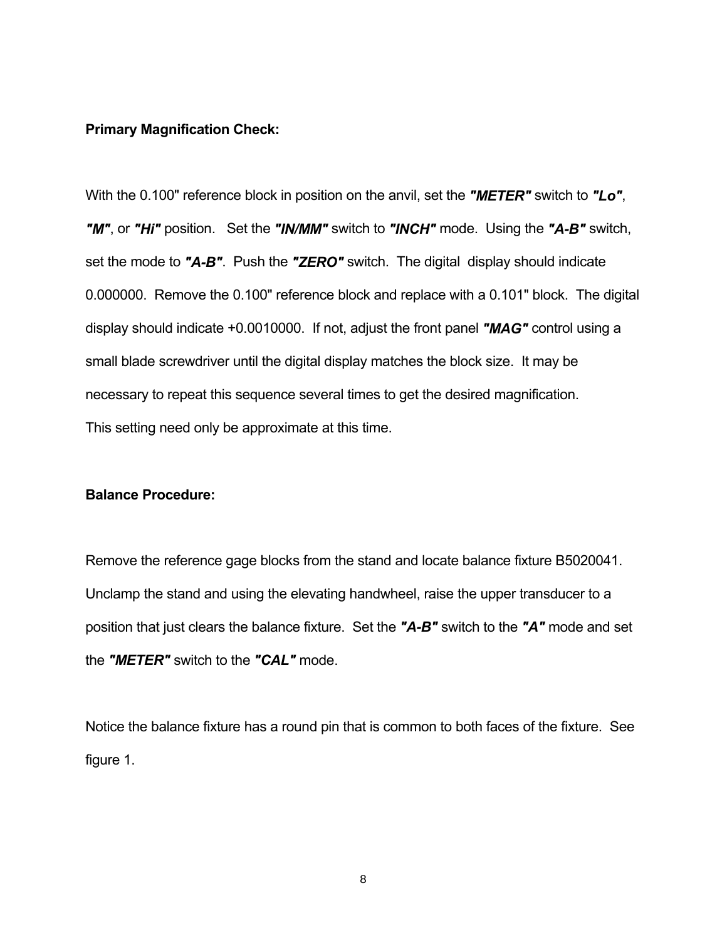#### **Primary Magnification Check:**

With the 0.100" reference block in position on the anvil, set the *"METER"* switch to *"Lo"*, *"M"*, or *"Hi"* position. Set the *"IN/MM"* switch to *"INCH"* mode. Using the *"A-B"* switch, set the mode to *"A-B"*. Push the *"ZERO"* switch. The digital display should indicate 0.000000. Remove the 0.100" reference block and replace with a 0.101" block. The digital display should indicate +0.0010000. If not, adjust the front panel *"MAG"* control using a small blade screwdriver until the digital display matches the block size. It may be necessary to repeat this sequence several times to get the desired magnification. This setting need only be approximate at this time.

#### **Balance Procedure:**

Remove the reference gage blocks from the stand and locate balance fixture B5020041. Unclamp the stand and using the elevating handwheel, raise the upper transducer to a position that just clears the balance fixture. Set the *"A-B"* switch to the *"A"* mode and set the *"METER"* switch to the *"CAL"* mode.

Notice the balance fixture has a round pin that is common to both faces of the fixture. See figure 1.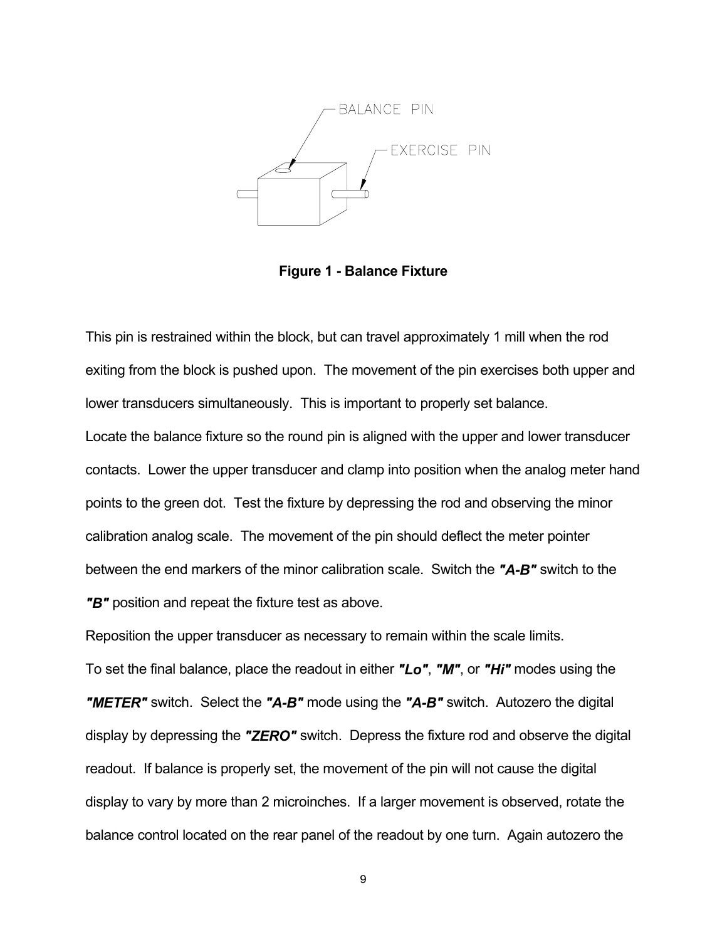

**Figure 1 - Balance Fixture** 

This pin is restrained within the block, but can travel approximately 1 mill when the rod exiting from the block is pushed upon. The movement of the pin exercises both upper and lower transducers simultaneously. This is important to properly set balance. Locate the balance fixture so the round pin is aligned with the upper and lower transducer contacts. Lower the upper transducer and clamp into position when the analog meter hand points to the green dot. Test the fixture by depressing the rod and observing the minor calibration analog scale. The movement of the pin should deflect the meter pointer between the end markers of the minor calibration scale. Switch the *"A-B"* switch to the

*"B"* position and repeat the fixture test as above.

Reposition the upper transducer as necessary to remain within the scale limits.

To set the final balance, place the readout in either *"Lo"*, *"M"*, or *"Hi"* modes using the *"METER"* switch. Select the *"A-B"* mode using the *"A-B"* switch. Autozero the digital display by depressing the *"ZERO"* switch. Depress the fixture rod and observe the digital readout. If balance is properly set, the movement of the pin will not cause the digital display to vary by more than 2 microinches. If a larger movement is observed, rotate the balance control located on the rear panel of the readout by one turn. Again autozero the

9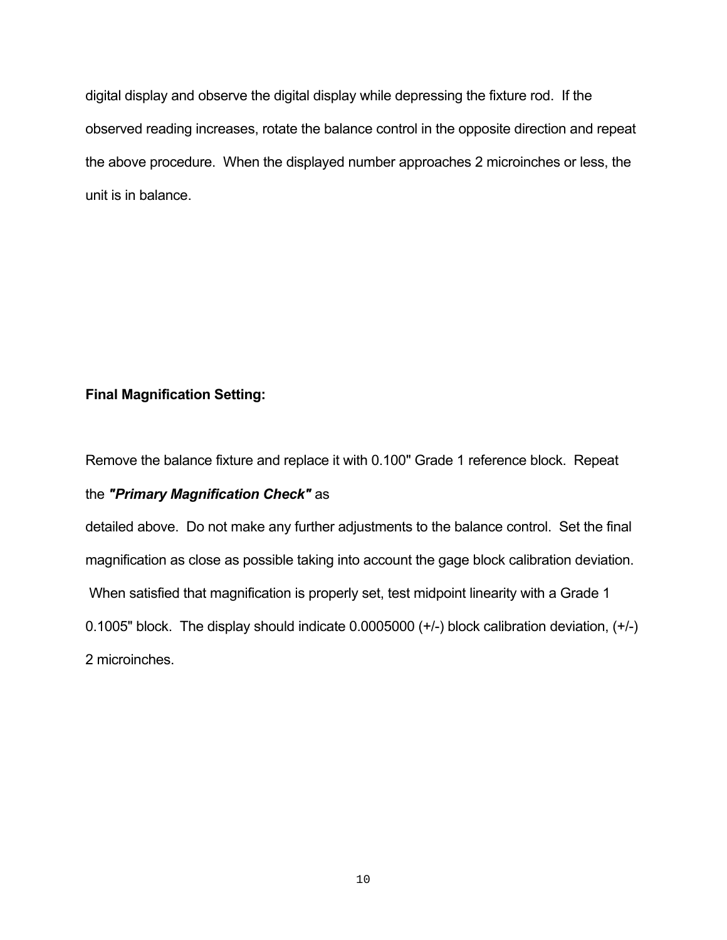digital display and observe the digital display while depressing the fixture rod. If the observed reading increases, rotate the balance control in the opposite direction and repeat the above procedure. When the displayed number approaches 2 microinches or less, the unit is in balance.

## **Final Magnification Setting:**

Remove the balance fixture and replace it with 0.100" Grade 1 reference block. Repeat

#### the *"Primary Magnification Check"* as

detailed above. Do not make any further adjustments to the balance control. Set the final magnification as close as possible taking into account the gage block calibration deviation. When satisfied that magnification is properly set, test midpoint linearity with a Grade 1 0.1005" block. The display should indicate 0.0005000 (+/-) block calibration deviation, (+/-) 2 microinches.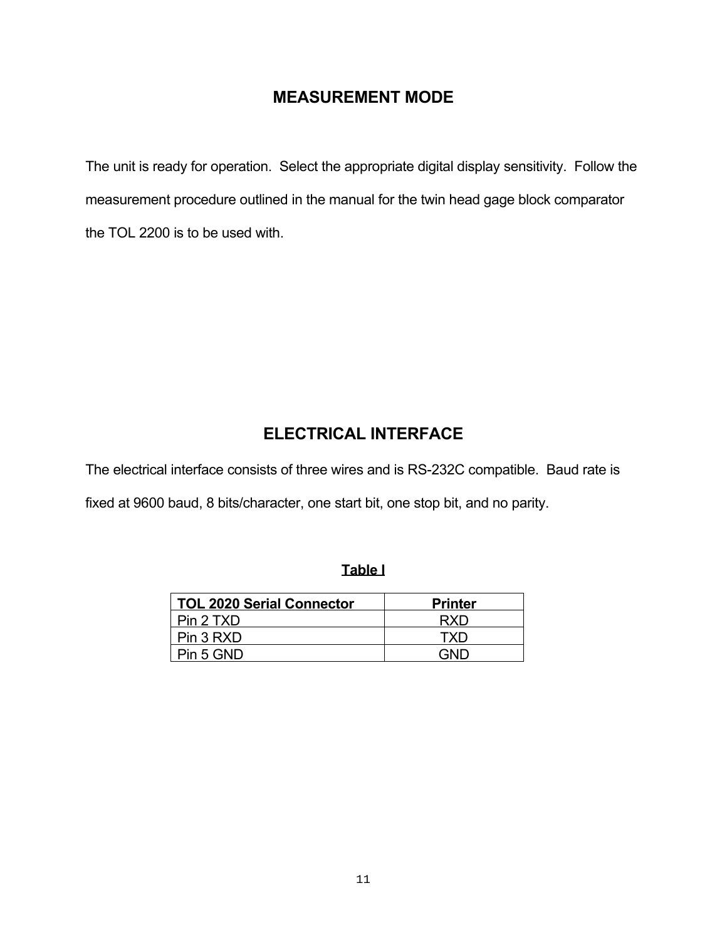# **MEASUREMENT MODE**

The unit is ready for operation. Select the appropriate digital display sensitivity. Follow the measurement procedure outlined in the manual for the twin head gage block comparator the TOL 2200 is to be used with.

# **ELECTRICAL INTERFACE**

The electrical interface consists of three wires and is RS-232C compatible. Baud rate is fixed at 9600 baud, 8 bits/character, one start bit, one stop bit, and no parity.

## **Table I**

| <b>TOL 2020 Serial Connector</b> | <b>Printer</b> |
|----------------------------------|----------------|
| Pin 2 TXD                        | RXD            |
| Pin 3 RXD                        | TXD            |
| Pin 5 GND                        | חוחב           |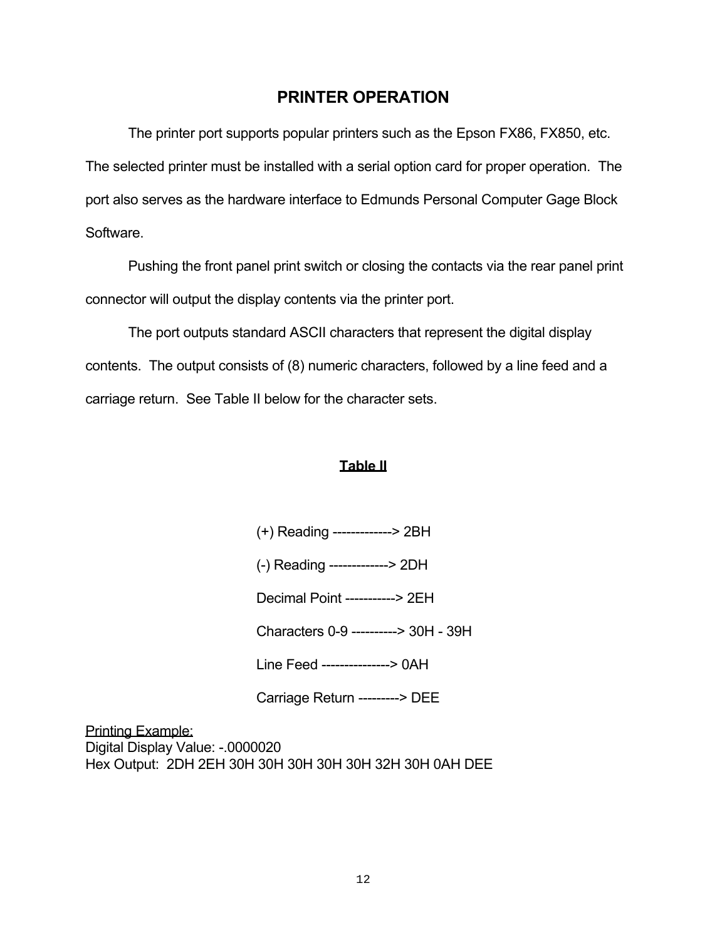## **PRINTER OPERATION**

 The printer port supports popular printers such as the Epson FX86, FX850, etc. The selected printer must be installed with a serial option card for proper operation. The port also serves as the hardware interface to Edmunds Personal Computer Gage Block Software.

 Pushing the front panel print switch or closing the contacts via the rear panel print connector will output the display contents via the printer port.

 The port outputs standard ASCII characters that represent the digital display contents. The output consists of (8) numeric characters, followed by a line feed and a carriage return. See Table II below for the character sets.

### **Table II**

- (+) Reading -------------> 2BH
- (-) Reading -------------> 2DH

Decimal Point -----------> 2EH

Characters 0-9 ----------> 30H - 39H

Line Feed ---------------> 0AH

Carriage Return ---------> DEE

Printing Example: Digital Display Value: -.0000020 Hex Output: 2DH 2EH 30H 30H 30H 30H 30H 32H 30H 0AH DEE